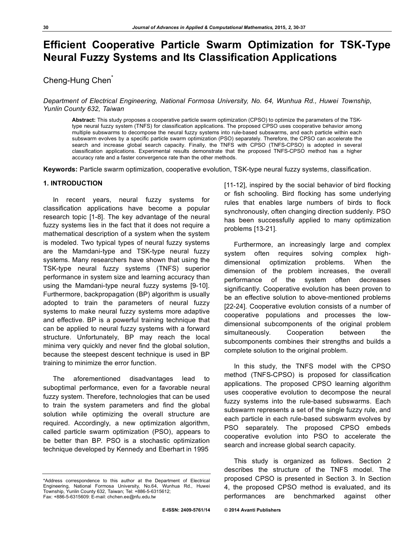# **Efficient Cooperative Particle Swarm Optimization for TSK-Type Neural Fuzzy Systems and Its Classification Applications**

# Cheng-Hung Chen<sup>®</sup>

# *Department of Electrical Engineering, National Formosa University, No. 64, Wunhua Rd., Huwei Township, Yunlin County 632, Taiwan*

**Abstract:** This study proposes a cooperative particle swarm optimization (CPSO) to optimize the parameters of the TSKtype neural fuzzy system (TNFS) for classification applications. The proposed CPSO uses cooperative behavior among multiple subswarms to decompose the neural fuzzy systems into rule-based subswarms, and each particle within each subswarm evolves by a specific particle swarm optimization (PSO) separately. Therefore, the CPSO can accelerate the search and increase global search capacity. Finally, the TNFS with CPSO (TNFS-CPSO) is adopted in several classification applications. Experimental results demonstrate that the proposed TNFS-CPSO method has a higher accuracy rate and a faster convergence rate than the other methods.

**Keywords:** Particle swarm optimization, cooperative evolution, TSK-type neural fuzzy systems, classification.

# **1. INTRODUCTION**

In recent years, neural fuzzy systems for classification applications have become a popular research topic [1-8]. The key advantage of the neural fuzzy systems lies in the fact that it does not require a mathematical description of a system when the system is modeled. Two typical types of neural fuzzy systems are the Mamdani-type and TSK-type neural fuzzy systems. Many researchers have shown that using the TSK-type neural fuzzy systems (TNFS) superior performance in system size and learning accuracy than using the Mamdani-type neural fuzzy systems [9-10]. Furthermore, backpropagation (BP) algorithm is usually adopted to train the parameters of neural fuzzy systems to make neural fuzzy systems more adaptive and effective. BP is a powerful training technique that can be applied to neural fuzzy systems with a forward structure. Unfortunately, BP may reach the local minima very quickly and never find the global solution, because the steepest descent technique is used in BP training to minimize the error function.

The aforementioned disadvantages lead to suboptimal performance, even for a favorable neural fuzzy system. Therefore, technologies that can be used to train the system parameters and find the global solution while optimizing the overall structure are required. Accordingly, a new optimization algorithm, called particle swarm optimization (PSO), appears to be better than BP. PSO is a stochastic optimization technique developed by Kennedy and Eberhart in 1995

[11-12], inspired by the social behavior of bird flocking or fish schooling. Bird flocking has some underlying rules that enables large numbers of birds to flock synchronously, often changing direction suddenly. PSO has been successfully applied to many optimization problems [13-21].

Furthermore, an increasingly large and complex system often requires solving complex highdimensional optimization problems. When the dimension of the problem increases, the overall performance of the system often decreases significantly. Cooperative evolution has been proven to be an effective solution to above-mentioned problems [22-24]. Cooperative evolution consists of a number of cooperative populations and processes the lowdimensional subcomponents of the original problem simultaneously. Cooperation between the subcomponents combines their strengths and builds a complete solution to the original problem.

In this study, the TNFS model with the CPSO method (TNFS-CPSO) is proposed for classification applications. The proposed CPSO learning algorithm uses cooperative evolution to decompose the neural fuzzy systems into the rule-based subswarms. Each subswarm represents a set of the single fuzzy rule, and each particle in each rule-based subswarm evolves by PSO separately. The proposed CPSO embeds cooperative evolution into PSO to accelerate the search and increase global search capacity.

This study is organized as follows. Section 2 describes the structure of the TNFS model. The proposed CPSO is presented in Section 3. In Section 4, the proposed CPSO method is evaluated, and its performances are benchmarked against other

<sup>\*</sup>Address correspondence to this author at the Department of Electrical Engineering, National Formosa University, No.64, Wunhua Rd., Huwei Township, Yunlin County 632, Taiwan; Tel: +886-5-6315612; Fax: +886-5-6315609: E-mail: chchen.ee@nfu.edu.tw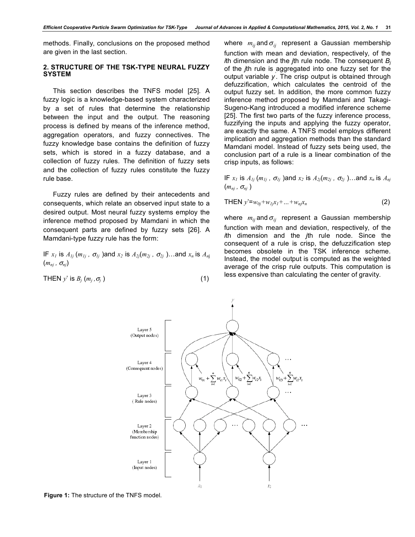methods. Finally, conclusions on the proposed method are given in the last section.

# **2. STRUCTURE OF THE TSK-TYPE NEURAL FUZZY SYSTEM**

This section describes the TNFS model [25]. A fuzzy logic is a knowledge-based system characterized by a set of rules that determine the relationship between the input and the output. The reasoning process is defined by means of the inference method, aggregation operators, and fuzzy connectives. The fuzzy knowledge base contains the definition of fuzzy sets, which is stored in a fuzzy database, and a collection of fuzzy rules. The definition of fuzzy sets and the collection of fuzzy rules constitute the fuzzy rule base.

Fuzzy rules are defined by their antecedents and consequents, which relate an observed input state to a desired output. Most neural fuzzy systems employ the inference method proposed by Mamdani in which the consequent parts are defined by fuzzy sets [26]. A Mamdani-type fuzzy rule has the form:

IF  $x_1$  is  $A_{1j}$  ( $m_{1j}$ ,  $\sigma_{1j}$ ) and  $x_2$  is  $A_{2j}(m_{2j}, \sigma_{2j})$ ...and  $x_n$  is  $A_{nj}$  $(m_{ni}, \sigma_{ni})$ 

THEN *y*' is  $B_i(m_i, \sigma_i)$  (1)

where 
$$
m_{ij}
$$
 and  $\sigma_{ij}$  represent a Gaussian membership function with mean and deviation, respectively, of the *i*th dimension and the *j*th rule node. The consequent  $B_j$  of the *j*th rule is aggregated into one fuzzy set for the output variable *y*. The crisp output is obtained through defuzzification, which calculates the centroid of the output fuzzy set. In addition, the more common fuzzy inference method proposed by Mamlani and Takagil-Sugeno-Kang introduced a modified inference scheme [25]. The first two parts of the fuzzy inference process, fuzzifying the inputs and applying the fuzzy operator, are exactly the same. A TNFS model employs different implication and aggregation methods than the standard Mamlani model. Instead of fuzzy sets being used, the conclusion part of a rule is a linear combination of the crisp inputs, as follows:

IF  $x_1$  is  $A_{1j}$  ( $m_{1j}$ ,  $\sigma_{1j}$ ) and  $x_2$  is  $A_{2j}(m_{2j}, \sigma_{2j})$ ...and  $x_n$  is  $A_{nj}$  $(m_{ni}, \sigma_{ni})$ 

$$
\text{THEN } y' = w_{0j} + w_{1j}x_1 + \dots + w_{nj}x_n \tag{2}
$$

where  $m_{ij}$  and  $\sigma_{ij}$  represent a Gaussian membership function with mean and deviation, respectively, of the *i*th dimension and the *j*th rule node. Since the consequent of a rule is crisp, the defuzzification step becomes obsolete in the TSK inference scheme. Instead, the model output is computed as the weighted average of the crisp rule outputs. This computation is less expensive than calculating the center of gravity.



**Figure 1:** The structure of the TNFS model.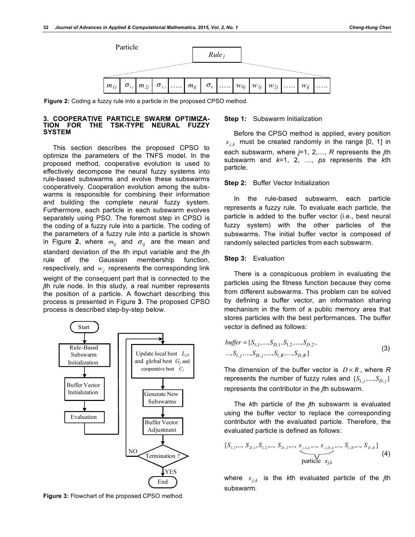

**Figure 2:** Coding a fuzzy rule into a particle in the proposed CPSO method.

#### **3. COOPERATIVE PARTICLE SWARM OPTIMIZA-TION FOR THE TSK-TYPE NEURAL FUZZY SYSTEM**

This section describes the proposed CPSO to optimize the parameters of the TNFS model. In the proposed method, cooperative evolution is used to effectively decompose the neural fuzzy systems into rule-based subswarms and evolve these subswarms cooperatively. Cooperation evolution among the subswarms is responsible for combining their information and building the complete neural fuzzy system. Furthermore, each particle in each subswarm evolves separately using PSO. The foremost step in CPSO is the coding of a fuzzy rule into a particle. The coding of the parameters of a fuzzy rule into a particle is shown in Figure 2, where  $m_{ij}$  and  $\sigma_{ij}$  are the mean and standard deviation of the *i*th input variable and the *j*th rule of the Gaussian membership function, respectively, and  $w_i$  represents the corresponding link weight of the consequent part that is connected to the *j*th rule node. In this study, a real number represents the position of a particle. A flowchart describing this process is presented in Figure **3**. The proposed CPSO process is described step-by-step below.



**Figure 3:** Flowchart of the proposed CPSO method.

#### **Step 1:** Subswarm Initialization

Before the CPSO method is applied, every position  $x_{j,k}$  must be created randomly in the range [0, 1] in each subswarm, where *j*=1, 2,…, *R* represents the *j*th subswarm and *k*=1, 2, …, *ps* represents the *k*th particle.

# **Step 2:** Buffer Vector Initialization

In the rule-based subswarm, each particle represents a fuzzy rule. To evaluate each particle, the particle is added to the buffer vector (i.e., best neural fuzzy system) with the other particles of the subswarms. The initial buffer vector is composed of randomly selected particles from each subswarm.

#### **Step 3:** Evaluation

There is a conspicuous problem in evaluating the particles using the fitness function because they come from different subswarms. This problem can be solved by defining a buffer vector, an information sharing mechanism in the form of a public memory area that stores particles with the best performances. The buffer vector is defined as follows:

$$
buffer = [S_{1,1}, ..., S_{D,1}, S_{1,2}, ..., S_{D,2},..., S_{1,j}, ..., S_{D,j}, ..., S_{1,R}, ..., S_{D,R}]
$$
\n(3)

The dimension of the buffer vector is  $D \times R$ , where *R* represents the number of fuzzy rules and  $[S_{1,i},...,S_{D,i}]$ represents the contributor in the *j*th subswarm.

The *k*th particle of the *j*th subswarm is evaluated using the buffer vector to replace the corresponding contributor with the evaluated particle. Therefore, the evaluated particle is defined as follows:

$$
[S_{1,1},..., S_{D,1}, S_{1,2},..., S_{D,2},..., S_{J,1,k},..., S_{J,D,k},..., S_{1,R},..., S_{D,R}]
$$
\n
$$
\underbrace{\text{particle } x_{j,k}} \tag{4}
$$

where  $x_{i,k}$  is the kth evaluated particle of the *j*th subswarm.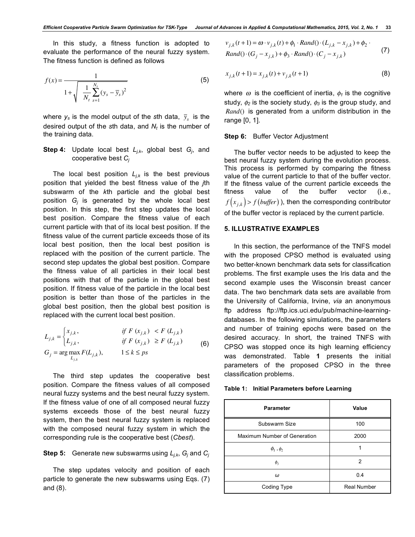In this study, a fitness function is adopted to evaluate the performance of the neural fuzzy system. The fitness function is defined as follows

$$
f(x) = \frac{1}{1 + \sqrt{\frac{1}{N_t} \sum_{s=1}^{N_t} (y_s - \overline{y}_s)^2}}
$$
(5)

where  $y_s$  is the model output of the sth data,  $\bar{y}_s$  is the desired output of the *s*th data, and  $N_t$  is the number of the training data.

**Step 4:** Update local best *Lj,k*, global best *Gj*, and cooperative best *Cj*

The local best position  $L_{j,k}$  is the best previous position that yielded the best fitness value of the *j*th subswarm of the *k*th particle and the global best position *Gj* is generated by the whole local best position. In this step, the first step updates the local best position. Compare the fitness value of each current particle with that of its local best position. If the fitness value of the current particle exceeds those of its local best position, then the local best position is replaced with the position of the current particle. The second step updates the global best position. Compare the fitness value of all particles in their local best positions with that of the particle in the global best position. If fitness value of the particle in the local best position is better than those of the particles in the global best position, then the global best position is replaced with the current local best position.

$$
L_{j,k} = \begin{cases} x_{j,k}, & \text{if } F(x_{j,k}) < F(L_{j,k})\\ L_{j,k}, & \text{if } F(x_{j,k}) \ge F(L_{j,k}) \end{cases} \tag{6}
$$
\n
$$
G_j = \arg\max_{L_{j,k}} F(L_{j,k}), \qquad 1 \le k \le ps
$$

The third step updates the cooperative best position. Compare the fitness values of all composed neural fuzzy systems and the best neural fuzzy system. If the fitness value of one of all composed neural fuzzy systems exceeds those of the best neural fuzzy system, then the best neural fuzzy system is replaced with the composed neural fuzzy system in which the corresponding rule is the cooperative best (*Cbest*).

# **Step 5:** Generate new subswarms using *Lj,k*, *Gj* and *Cj*

The step updates velocity and position of each particle to generate the new subswarms using Eqs. (7) and (8).

$$
v_{j,k}(t+1) = \omega \cdot v_{j,k}(t) + \phi_1 \cdot Rand(\cdot (L_{j,k} - x_{j,k}) + \phi_2 \cdot \text{Rand}(\cdot (G_j - x_{j,k}) + \phi_3 \cdot Rand(\cdot (G_j - x_{j,k})) \tag{7}
$$

$$
x_{j,k}(t+1) = x_{j,k}(t) + v_{j,k}(t+1)
$$
\n(8)

where  $\omega$  is the coefficient of inertia,  $\phi_1$  is the cognitive study, φ*2* is the society study, φ*3* is the group study, and *Rand*() is generated from a uniform distribution in the range [0, 1].

#### **Step 6:** Buffer Vector Adjustment

The buffer vector needs to be adjusted to keep the best neural fuzzy system during the evolution process. This process is performed by comparing the fitness value of the current particle to that of the buffer vector. If the fitness value of the current particle exceeds the fitness value of the buffer vector (i.e.,  $f(x_{i,k})$  >  $f(\text{buffer})$ ), then the corresponding contributor of the buffer vector is replaced by the current particle.

#### **5. ILLUSTRATIVE EXAMPLES**

In this section, the performance of the TNFS model with the proposed CPSO method is evaluated using two better-known benchmark data sets for classification problems. The first example uses the Iris data and the second example uses the Wisconsin breast cancer data. The two benchmark data sets are available from the University of California, Irvine, *via* an anonymous ftp address ftp://ftp.ics.uci.edu/pub/machine-learningdatabases. In the following simulations, the parameters and number of training epochs were based on the desired accuracy. In short, the trained TNFS with CPSO was stopped once its high learning efficiency was demonstrated. Table **1** presents the initial parameters of the proposed CPSO in the three classification problems.

|  | Table 1: Initial Parameters before Learning |  |
|--|---------------------------------------------|--|
|--|---------------------------------------------|--|

| <b>Parameter</b>             | Value              |  |
|------------------------------|--------------------|--|
| Subswarm Size                | 100                |  |
| Maximum Number of Generation | 2000               |  |
| $\phi_1$ , $\phi_2$          | 1                  |  |
| $\phi_3$                     | 2                  |  |
| ω                            | 0.4                |  |
| Coding Type                  | <b>Real Number</b> |  |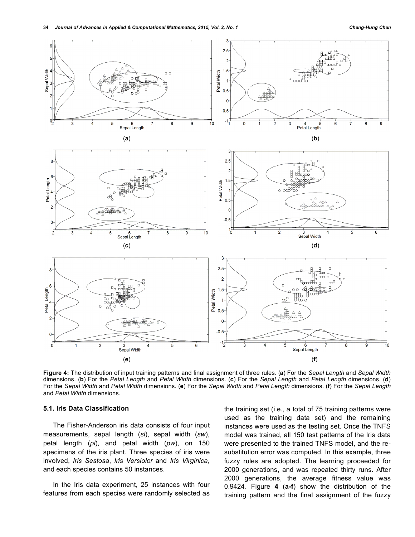

**Figure 4:** The distribution of input training patterns and final assignment of three rules. (**a**) For the *Sepal Length* and *Sepal Width* dimensions. (**b**) For the *Petal Length* and *Petal Width* dimensions. (**c**) For the *Sepal Length* and *Petal Length* dimensions. (**d**) For the *Sepal Width* and *Petal Width* dimensions. (**e**) For the *Sepal Width* and *Petal Length* dimensions. (**f**) For the *Sepal Length* and *Petal Width* dimensions.

## **5.1. Iris Data Classification**

The Fisher-Anderson iris data consists of four input measurements, sepal length (*sl*), sepal width (*sw*), petal length (*pl*), and petal width (*pw*), on 150 specimens of the iris plant. Three species of iris were involved, *Iris Sestosa*, *Iris Versiolor* and *Iris Virginica*, and each species contains 50 instances.

In the Iris data experiment, 25 instances with four features from each species were randomly selected as the training set (i.e., a total of 75 training patterns were used as the training data set) and the remaining instances were used as the testing set. Once the TNFS model was trained, all 150 test patterns of the Iris data were presented to the trained TNFS model, and the resubstitution error was computed. In this example, three fuzzy rules are adopted. The learning proceeded for 2000 generations, and was repeated thirty runs. After 2000 generations, the average fitness value was 0.9424. Figure **4** (**a-f**) show the distribution of the training pattern and the final assignment of the fuzzy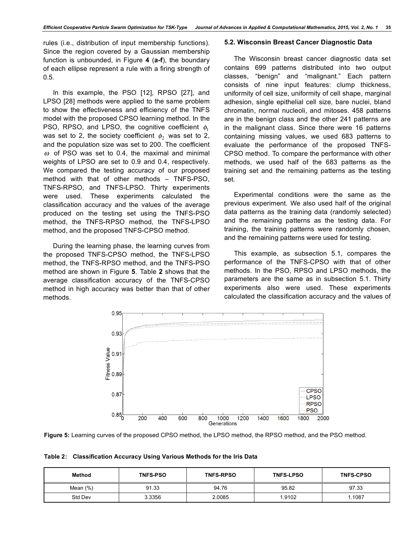rules (i.e., distribution of input membership functions). Since the region covered by a Gaussian membership function is unbounded, in Figure **4** (**a-f**), the boundary of each ellipse represent a rule with a firing strength of 0.5.

In this example, the PSO [12], RPSO [27], and LPSO [28] methods were applied to the same problem to show the effectiveness and efficiency of the TNFS model with the proposed CPSO learning method. In the PSO, RPSO, and LPSO, the cognitive coefficient  $\phi_1$ was set to 2, the society coefficient  $\phi_2$  was set to 2, and the population size was set to 200. The coefficient  $\omega$  of PSO was set to 0.4, the maximal and minimal weights of LPSO are set to 0.9 and 0.4, respectively. We compared the testing accuracy of our proposed method with that of other methods – TNFS-PSO, TNFS-RPSO, and TNFS-LPSO. Thirty experiments were used. These experiments calculated the classification accuracy and the values of the average produced on the testing set using the TNFS-PSO method, the TNFS-RPSO method, the TNFS-LPSO method, and the proposed TNFS-CPSO method.

During the learning phase, the learning curves from the proposed TNFS-CPSO method, the TNFS-LPSO method, the TNFS-RPSO method, and the TNFS-PSO method are shown in Figure **5**. Table **2** shows that the average classification accuracy of the TNFS-CPSO method in high accuracy was better than that of other methods.

#### **5.2. Wisconsin Breast Cancer Diagnostic Data**

The Wisconsin breast cancer diagnostic data set contains 699 patterns distributed into two output classes, "benign" and "malignant." Each pattern consists of nine input features: clump thickness, uniformity of cell size, uniformity of cell shape, marginal adhesion, single epithelial cell size, bare nuclei, bland chromatin, normal nucleoli, and mitoses. 458 patterns are in the benign class and the other 241 patterns are in the malignant class. Since there were 16 patterns containing missing values, we used 683 patterns to evaluate the performance of the proposed TNFS-CPSO method. To compare the performance with other methods, we used half of the 683 patterns as the training set and the remaining patterns as the testing set.

Experimental conditions were the same as the previous experiment. We also used half of the original data patterns as the training data (randomly selected) and the remaining patterns as the testing data. For training, the training patterns were randomly chosen, and the remaining patterns were used for testing.

This example, as subsection 5.1, compares the performance of the TNFS-CPSO with that of other methods. In the PSO, RPSO and LPSO methods, the parameters are the same as in subsection 5.1. Thirty experiments also were used. These experiments calculated the classification accuracy and the values of



**Figure 5:** Learning curves of the proposed CPSO method, the LPSO method, the RPSO method, and the PSO method.

**Table 2: Classification Accuracy Using Various Methods for the Iris Data**

| Method      | <b>TNFS-PSO</b> | <b>TNFS-RPSO</b> | <b>TNFS-LPSO</b> | <b>TNFS-CPSO</b> |
|-------------|-----------------|------------------|------------------|------------------|
| Mean $(\%)$ | 91.33           | 94.76            | 95.82            | 97.33            |
| Std Dev     | 3.3356          | 2.0085           | 1.9102           | 1.1087           |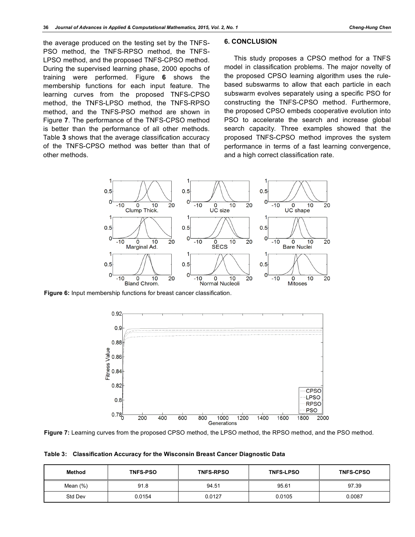the average produced on the testing set by the TNFS-PSO method, the TNFS-RPSO method, the TNFS-LPSO method, and the proposed TNFS-CPSO method. During the supervised learning phase, 2000 epochs of training were performed. Figure **6** shows the membership functions for each input feature. The learning curves from the proposed TNFS-CPSO method, the TNFS-LPSO method, the TNFS-RPSO method, and the TNFS-PSO method are shown in Figure **7**. The performance of the TNFS-CPSO method is better than the performance of all other methods. Table **3** shows that the average classification accuracy of the TNFS-CPSO method was better than that of other methods.

# **6. CONCLUSION**

This study proposes a CPSO method for a TNFS model in classification problems. The major novelty of the proposed CPSO learning algorithm uses the rulebased subswarms to allow that each particle in each subswarm evolves separately using a specific PSO for constructing the TNFS-CPSO method. Furthermore, the proposed CPSO embeds cooperative evolution into PSO to accelerate the search and increase global search capacity. Three examples showed that the proposed TNFS-CPSO method improves the system performance in terms of a fast learning convergence, and a high correct classification rate.



**Figure 6:** Input membership functions for breast cancer classification.



**Figure 7:** Learning curves from the proposed CPSO method, the LPSO method, the RPSO method, and the PSO method.

**Table 3: Classification Accuracy for the Wisconsin Breast Cancer Diagnostic Data**

| Method   | <b>TNFS-PSO</b> | <b>TNFS-RPSO</b> | <b>TNFS-LPSO</b> | <b>TNFS-CPSO</b> |
|----------|-----------------|------------------|------------------|------------------|
| Mean (%) | 91.8            | 94.51            | 95.61            | 97.39            |
| Std Dev  | 0.0154          | 0.0127           | 0.0105           | 0.0087           |